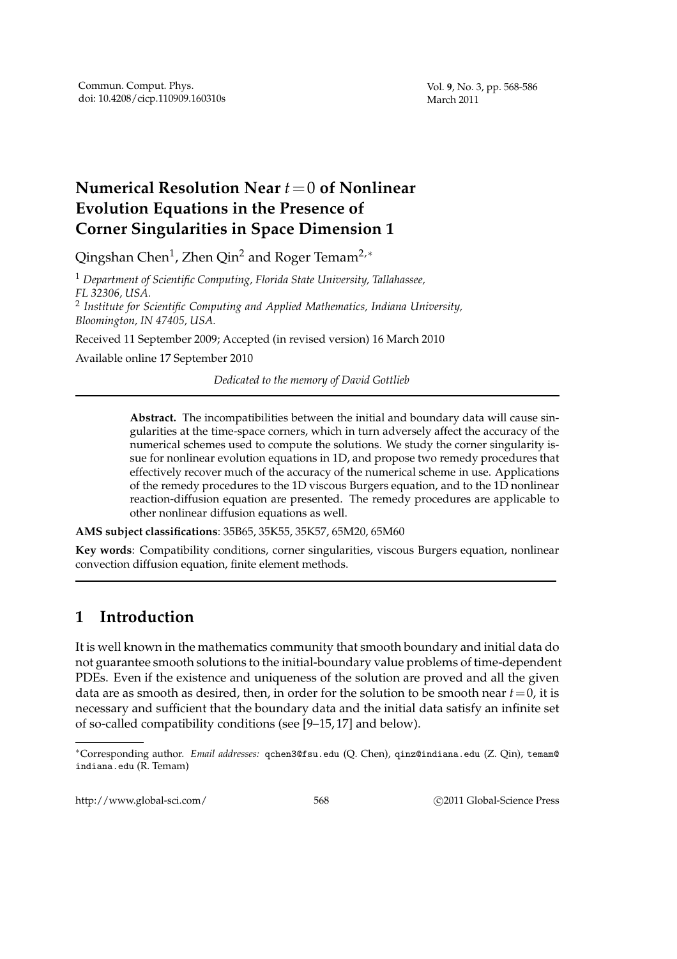# **Numerical Resolution Near** *t*=0 **of Nonlinear Evolution Equations in the Presence of Corner Singularities in Space Dimension 1**

Qingshan Chen $^1$ , Zhen Qin $^2$  and Roger Temam $^{2,\ast}$ 

<sup>1</sup> *Department of Scientific Computing, Florida State University, Tallahassee, FL 32306, USA.* 2 *Institute for Scientific Computing and Applied Mathematics, Indiana University, Bloomington, IN 47405, USA.*

Received 11 September 2009; Accepted (in revised version) 16 March 2010

Available online 17 September 2010

*Dedicated to the memory of David Gottlieb*

**Abstract.** The incompatibilities between the initial and boundary data will cause singularities at the time-space corners, which in turn adversely affect the accuracy of the numerical schemes used to compute the solutions. We study the corner singularity issue for nonlinear evolution equations in 1D, and propose two remedy procedures that effectively recover much of the accuracy of the numerical scheme in use. Applications of the remedy procedures to the 1D viscous Burgers equation, and to the 1D nonlinear reaction-diffusion equation are presented. The remedy procedures are applicable to other nonlinear diffusion equations as well.

**AMS subject classifications**: 35B65, 35K55, 35K57, 65M20, 65M60

**Key words**: Compatibility conditions, corner singularities, viscous Burgers equation, nonlinear convection diffusion equation, finite element methods.

# **1 Introduction**

It is well known in the mathematics community that smooth boundary and initial data do not guarantee smooth solutions to the initial-boundary value problems of time-dependent PDEs. Even if the existence and uniqueness of the solution are proved and all the given data are as smooth as desired, then, in order for the solution to be smooth near  $t = 0$ , it is necessary and sufficient that the boundary data and the initial data satisfy an infinite set of so-called compatibility conditions (see [9–15, 17] and below).

http://www.global-sci.com/ 568 c 2011 Global-Science Press

<sup>∗</sup>Corresponding author. *Email addresses:* qchen3@fsu.edu (Q. Chen), qinz@indiana.edu (Z. Qin), temam@ indiana.edu (R. Temam)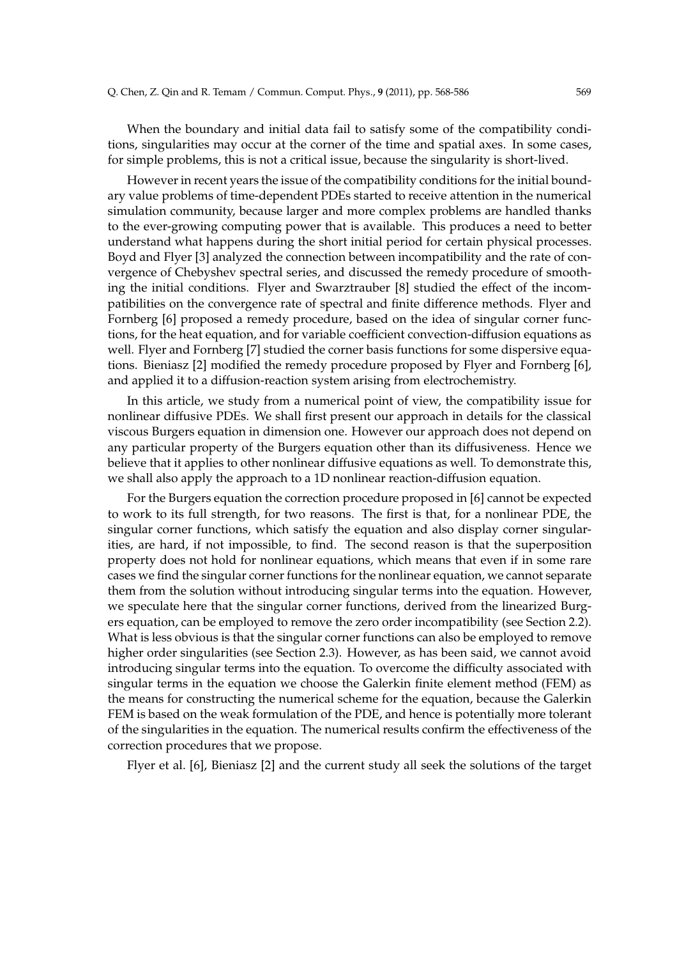When the boundary and initial data fail to satisfy some of the compatibility conditions, singularities may occur at the corner of the time and spatial axes. In some cases, for simple problems, this is not a critical issue, because the singularity is short-lived.

However in recent years the issue of the compatibility conditions for the initial boundary value problems of time-dependent PDEs started to receive attention in the numerical simulation community, because larger and more complex problems are handled thanks to the ever-growing computing power that is available. This produces a need to better understand what happens during the short initial period for certain physical processes. Boyd and Flyer [3] analyzed the connection between incompatibility and the rate of convergence of Chebyshev spectral series, and discussed the remedy procedure of smoothing the initial conditions. Flyer and Swarztrauber [8] studied the effect of the incompatibilities on the convergence rate of spectral and finite difference methods. Flyer and Fornberg [6] proposed a remedy procedure, based on the idea of singular corner functions, for the heat equation, and for variable coefficient convection-diffusion equations as well. Flyer and Fornberg [7] studied the corner basis functions for some dispersive equations. Bieniasz [2] modified the remedy procedure proposed by Flyer and Fornberg [6], and applied it to a diffusion-reaction system arising from electrochemistry.

In this article, we study from a numerical point of view, the compatibility issue for nonlinear diffusive PDEs. We shall first present our approach in details for the classical viscous Burgers equation in dimension one. However our approach does not depend on any particular property of the Burgers equation other than its diffusiveness. Hence we believe that it applies to other nonlinear diffusive equations as well. To demonstrate this, we shall also apply the approach to a 1D nonlinear reaction-diffusion equation.

For the Burgers equation the correction procedure proposed in [6] cannot be expected to work to its full strength, for two reasons. The first is that, for a nonlinear PDE, the singular corner functions, which satisfy the equation and also display corner singularities, are hard, if not impossible, to find. The second reason is that the superposition property does not hold for nonlinear equations, which means that even if in some rare cases we find the singular corner functions for the nonlinear equation, we cannot separate them from the solution without introducing singular terms into the equation. However, we speculate here that the singular corner functions, derived from the linearized Burgers equation, can be employed to remove the zero order incompatibility (see Section 2.2). What is less obvious is that the singular corner functions can also be employed to remove higher order singularities (see Section 2.3). However, as has been said, we cannot avoid introducing singular terms into the equation. To overcome the difficulty associated with singular terms in the equation we choose the Galerkin finite element method (FEM) as the means for constructing the numerical scheme for the equation, because the Galerkin FEM is based on the weak formulation of the PDE, and hence is potentially more tolerant of the singularities in the equation. The numerical results confirm the effectiveness of the correction procedures that we propose.

Flyer et al. [6], Bieniasz [2] and the current study all seek the solutions of the target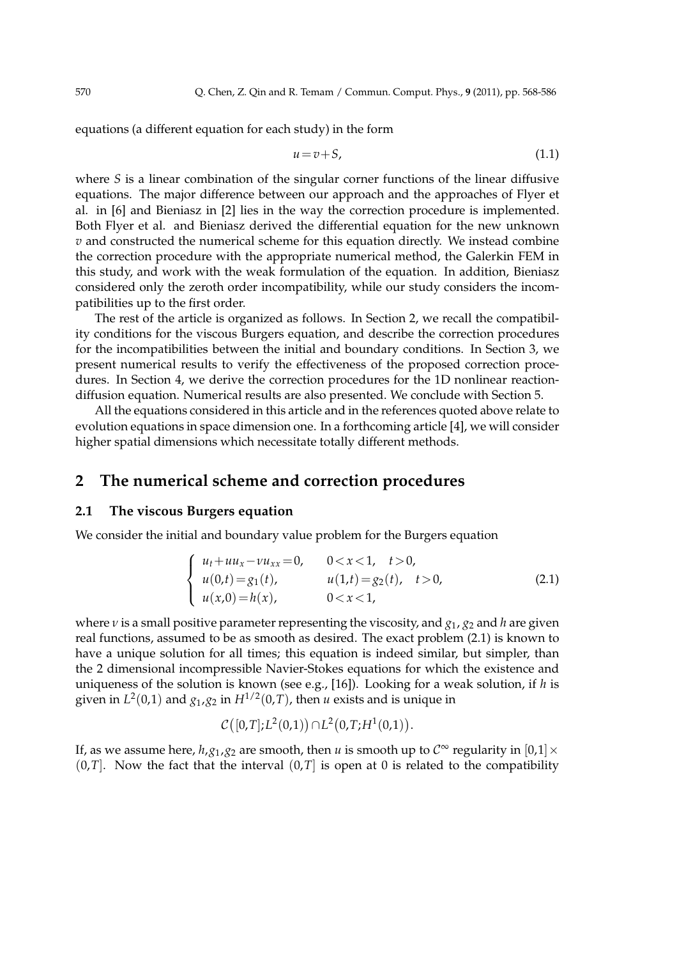equations (a different equation for each study) in the form

$$
u = v + S,\tag{1.1}
$$

where *S* is a linear combination of the singular corner functions of the linear diffusive equations. The major difference between our approach and the approaches of Flyer et al. in [6] and Bieniasz in [2] lies in the way the correction procedure is implemented. Both Flyer et al. and Bieniasz derived the differential equation for the new unknown *v* and constructed the numerical scheme for this equation directly. We instead combine the correction procedure with the appropriate numerical method, the Galerkin FEM in this study, and work with the weak formulation of the equation. In addition, Bieniasz considered only the zeroth order incompatibility, while our study considers the incompatibilities up to the first order.

The rest of the article is organized as follows. In Section 2, we recall the compatibility conditions for the viscous Burgers equation, and describe the correction procedures for the incompatibilities between the initial and boundary conditions. In Section 3, we present numerical results to verify the effectiveness of the proposed correction procedures. In Section 4, we derive the correction procedures for the 1D nonlinear reactiondiffusion equation. Numerical results are also presented. We conclude with Section 5.

All the equations considered in this article and in the references quoted above relate to evolution equations in space dimension one. In a forthcoming article [4], we will consider higher spatial dimensions which necessitate totally different methods.

## **2 The numerical scheme and correction procedures**

#### **2.1 The viscous Burgers equation**

We consider the initial and boundary value problem for the Burgers equation

$$
\begin{cases}\n u_t + uu_x - vu_{xx} = 0, & 0 < x < 1, \quad t > 0, \\
 u(0,t) = g_1(t), & u(1,t) = g_2(t), \quad t > 0, \\
 u(x,0) = h(x), & 0 < x < 1,\n\end{cases}\n\tag{2.1}
$$

where *ν* is a small positive parameter representing the viscosity, and *g*1, *g*<sup>2</sup> and *h* are given real functions, assumed to be as smooth as desired. The exact problem (2.1) is known to have a unique solution for all times; this equation is indeed similar, but simpler, than the 2 dimensional incompressible Navier-Stokes equations for which the existence and uniqueness of the solution is known (see e.g., [16]). Looking for a weak solution, if *h* is given in  $L^2(0,1)$  and  $g_1,g_2$  in  $H^{1/2}(0,T)$ , then  $u$  exists and is unique in

$$
C([0,T];L^2(0,1)) \cap L^2(0,T;H^1(0,1)).
$$

If, as we assume here,  $h$ , $g_1$ , $g_2$  are smooth, then *u* is smooth up to  $C^{\infty}$  regularity in  $[0,1] \times$  $(0,T]$ . Now the fact that the interval  $(0,T]$  is open at 0 is related to the compatibility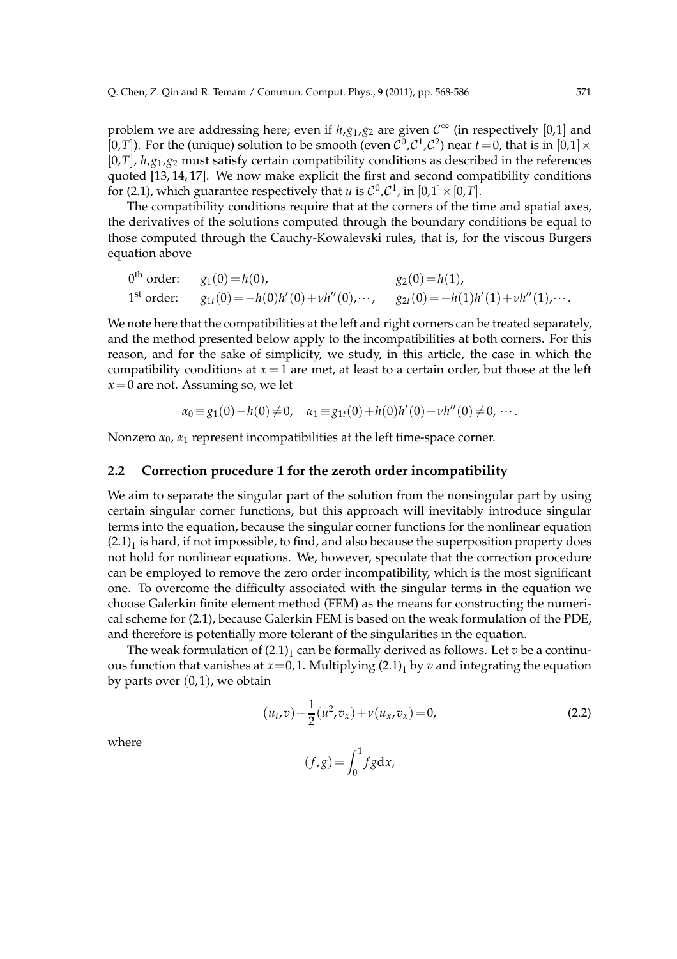problem we are addressing here; even if  $h$ , $g_1$ , $g_2$  are given  $\mathcal{C}^{\infty}$  (in respectively [0,1] and  $[0,T]$ ). For the (unique) solution to be smooth (even  $C^0$ ,  $C^1$ ,  $C^2$ ) near  $t = 0$ , that is in  $[0,1] \times$ [0,*T*], *h*,*g*1,*g*<sup>2</sup> must satisfy certain compatibility conditions as described in the references quoted [13, 14, 17]. We now make explicit the first and second compatibility conditions for (2.1), which guarantee respectively that *u* is  $C^0$ ,  $C^1$ , in  $[0,1] \times [0,T]$ .

The compatibility conditions require that at the corners of the time and spatial axes, the derivatives of the solutions computed through the boundary conditions be equal to those computed through the Cauchy-Kowalevski rules, that is, for the viscous Burgers equation above

$$
0th order: \t g1(0) = h(0), \t g2(0) = h(1), \t g2(0) = h(1), \t g3(0) = -h(0)h'(0) + vh''(0), \t \cdots, \t g2t(0) = -h(1)h'(1) + vh''(1), \cdots.
$$

We note here that the compatibilities at the left and right corners can be treated separately, and the method presented below apply to the incompatibilities at both corners. For this reason, and for the sake of simplicity, we study, in this article, the case in which the compatibility conditions at  $x = 1$  are met, at least to a certain order, but those at the left *x*=0 are not. Assuming so, we let

$$
\alpha_0 \equiv g_1(0) - h(0) \neq 0, \quad \alpha_1 \equiv g_{1t}(0) + h(0)h'(0) - v h''(0) \neq 0, \cdots.
$$

Nonzero  $\alpha_0$ ,  $\alpha_1$  represent incompatibilities at the left time-space corner.

### **2.2 Correction procedure 1 for the zeroth order incompatibility**

We aim to separate the singular part of the solution from the nonsingular part by using certain singular corner functions, but this approach will inevitably introduce singular terms into the equation, because the singular corner functions for the nonlinear equation  $(2.1)_1$  is hard, if not impossible, to find, and also because the superposition property does not hold for nonlinear equations. We, however, speculate that the correction procedure can be employed to remove the zero order incompatibility, which is the most significant one. To overcome the difficulty associated with the singular terms in the equation we choose Galerkin finite element method (FEM) as the means for constructing the numerical scheme for (2.1), because Galerkin FEM is based on the weak formulation of the PDE, and therefore is potentially more tolerant of the singularities in the equation.

The weak formulation of  $(2.1)_1$  can be formally derived as follows. Let  $v$  be a continuous function that vanishes at  $x=0,1$ . Multiplying  $(2.1)_1$  by  $v$  and integrating the equation by parts over  $(0, 1)$ , we obtain

$$
(u_t, v) + \frac{1}{2}(u^2, v_x) + v(u_x, v_x) = 0,
$$
\n(2.2)

where

$$
(f,g) = \int_0^1 fg \, dx,
$$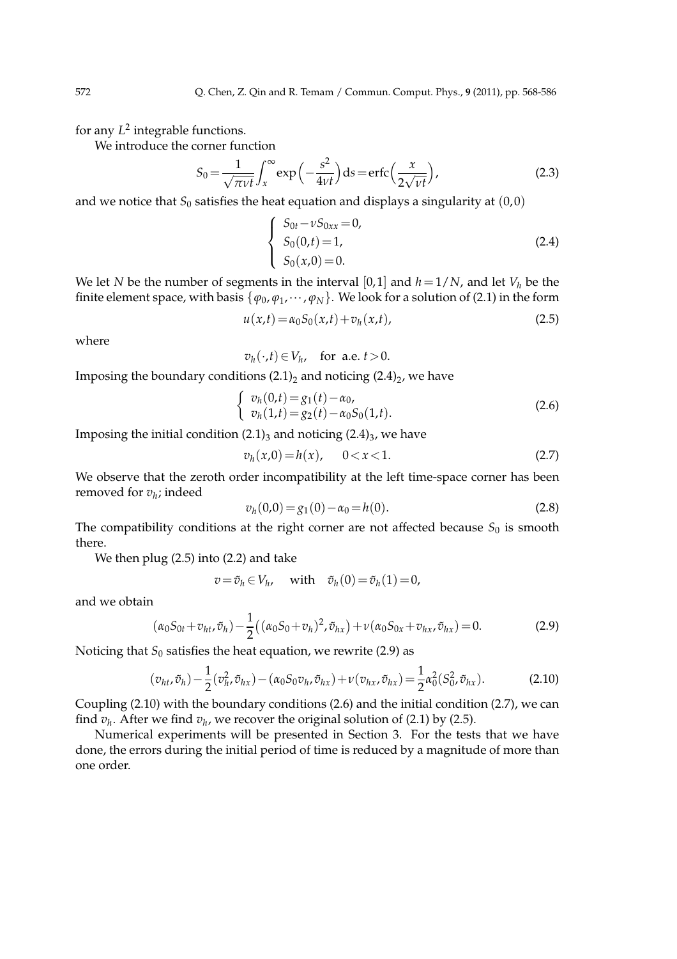for any  $L^2$  integrable functions.

We introduce the corner function

$$
S_0 = \frac{1}{\sqrt{\pi \nu t}} \int_x^{\infty} \exp\left(-\frac{s^2}{4\nu t}\right) ds = \text{erfc}\left(\frac{x}{2\sqrt{\nu t}}\right),\tag{2.3}
$$

and we notice that  $S_0$  satisfies the heat equation and displays a singularity at  $(0,0)$ 

$$
\begin{cases}\nS_{0t} - \nu S_{0xx} = 0, \\
S_0(0,t) = 1, \\
S_0(x,0) = 0.\n\end{cases}
$$
\n(2.4)

We let *N* be the number of segments in the interval [0,1] and  $h=1/N$ , and let  $V_h$  be the finite element space, with basis  $\{\varphi_0, \varphi_1, \dots, \varphi_N\}$ . We look for a solution of (2.1) in the form

$$
u(x,t) = \alpha_0 S_0(x,t) + v_h(x,t),
$$
\n(2.5)

where

$$
v_h(\cdot,t) \in V_h
$$
, for a.e.  $t > 0$ .

Imposing the boundary conditions  $(2.1)_2$  and noticing  $(2.4)_2$ , we have

$$
\begin{cases}\nv_h(0,t) = g_1(t) - \alpha_0, \\
v_h(1,t) = g_2(t) - \alpha_0 S_0(1,t).\n\end{cases}
$$
\n(2.6)

Imposing the initial condition (2.1)<sub>3</sub> and noticing (2.4)<sub>3</sub>, we have

$$
v_h(x,0) = h(x), \qquad 0 < x < 1. \tag{2.7}
$$

We observe that the zeroth order incompatibility at the left time-space corner has been removed for *v<sup>h</sup>* ; indeed

$$
v_h(0,0) = g_1(0) - \alpha_0 = h(0). \tag{2.8}
$$

The compatibility conditions at the right corner are not affected because  $S_0$  is smooth there.

We then plug (2.5) into (2.2) and take

$$
v = \tilde{v}_h \in V_h, \quad \text{with} \quad \tilde{v}_h(0) = \tilde{v}_h(1) = 0,
$$

and we obtain

$$
(\alpha_0 S_{0t} + v_{ht}, \tilde{v}_h) - \frac{1}{2} ((\alpha_0 S_0 + v_h)^2, \tilde{v}_{hx}) + \nu (\alpha_0 S_{0x} + v_{hx}, \tilde{v}_{hx}) = 0.
$$
 (2.9)

Noticing that  $S_0$  satisfies the heat equation, we rewrite (2.9) as

$$
(v_{ht}, \tilde{v}_h) - \frac{1}{2} (v_h^2, \tilde{v}_{hx}) - (\alpha_0 S_0 v_h, \tilde{v}_{hx}) + \nu (v_{hx}, \tilde{v}_{hx}) = \frac{1}{2} \alpha_0^2 (S_0^2, \tilde{v}_{hx}).
$$
 (2.10)

Coupling (2.10) with the boundary conditions (2.6) and the initial condition (2.7), we can find  $v_h$ . After we find  $v_h$ , we recover the original solution of (2.1) by (2.5).

Numerical experiments will be presented in Section 3. For the tests that we have done, the errors during the initial period of time is reduced by a magnitude of more than one order.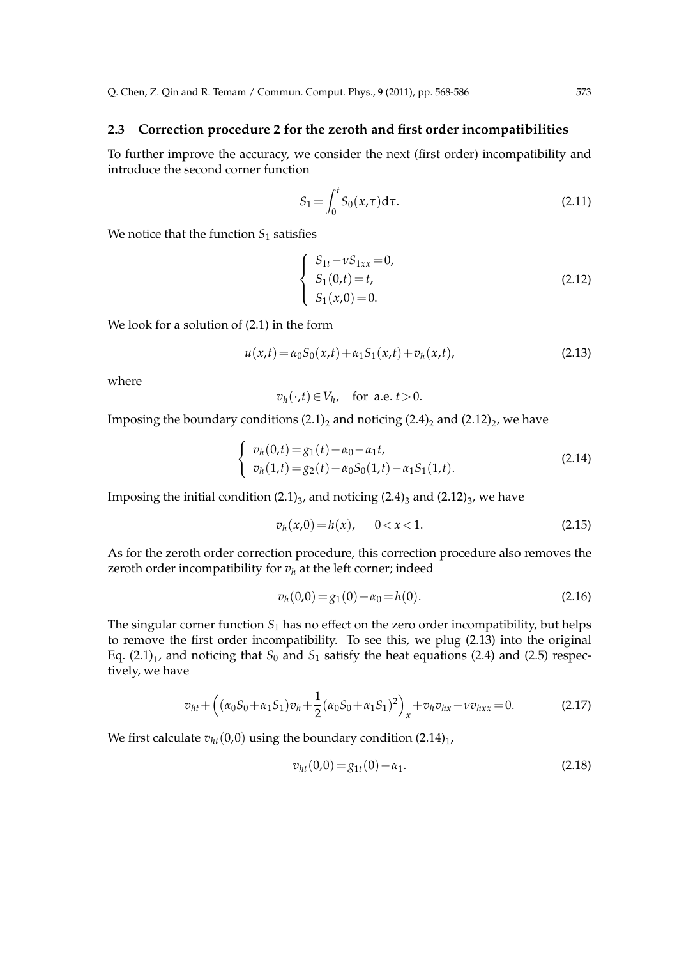### **2.3 Correction procedure 2 for the zeroth and first order incompatibilities**

To further improve the accuracy, we consider the next (first order) incompatibility and introduce the second corner function

$$
S_1 = \int_0^t S_0(x, \tau) d\tau.
$$
 (2.11)

We notice that the function  $S_1$  satisfies

$$
\begin{cases}\nS_{1t} - \nu S_{1xx} = 0, \\
S_1(0,t) = t, \\
S_1(x,0) = 0.\n\end{cases}
$$
\n(2.12)

We look for a solution of (2.1) in the form

$$
u(x,t) = \alpha_0 S_0(x,t) + \alpha_1 S_1(x,t) + v_h(x,t),
$$
\n(2.13)

where

$$
v_h(\cdot,t) \in V_h
$$
, for a.e.  $t > 0$ .

Imposing the boundary conditions (2.1)<sub>2</sub> and noticing (2.4)<sub>2</sub> and (2.12)<sub>2</sub>, we have

$$
\begin{cases}\nv_h(0,t) = g_1(t) - \alpha_0 - \alpha_1 t, \\
v_h(1,t) = g_2(t) - \alpha_0 S_0(1,t) - \alpha_1 S_1(1,t).\n\end{cases}
$$
\n(2.14)

Imposing the initial condition (2.1)<sub>3</sub>, and noticing (2.4)<sub>3</sub> and (2.12)<sub>3</sub>, we have

$$
v_h(x,0) = h(x), \qquad 0 < x < 1. \tag{2.15}
$$

As for the zeroth order correction procedure, this correction procedure also removes the zeroth order incompatibility for  $v_h$  at the left corner; indeed

$$
v_h(0,0) = g_1(0) - \alpha_0 = h(0). \tag{2.16}
$$

The singular corner function  $S_1$  has no effect on the zero order incompatibility, but helps to remove the first order incompatibility. To see this, we plug (2.13) into the original Eq.  $(2.1)_1$ , and noticing that  $S_0$  and  $S_1$  satisfy the heat equations (2.4) and (2.5) respectively, we have

$$
v_{ht} + ((\alpha_0 S_0 + \alpha_1 S_1)v_h + \frac{1}{2}(\alpha_0 S_0 + \alpha_1 S_1)^2)_{x} + v_h v_{hx} - v v_{hxx} = 0.
$$
 (2.17)

We first calculate  $v_{ht}(0,0)$  using the boundary condition  $(2.14)_1$ ,

$$
v_{ht}(0,0) = g_{1t}(0) - \alpha_1. \tag{2.18}
$$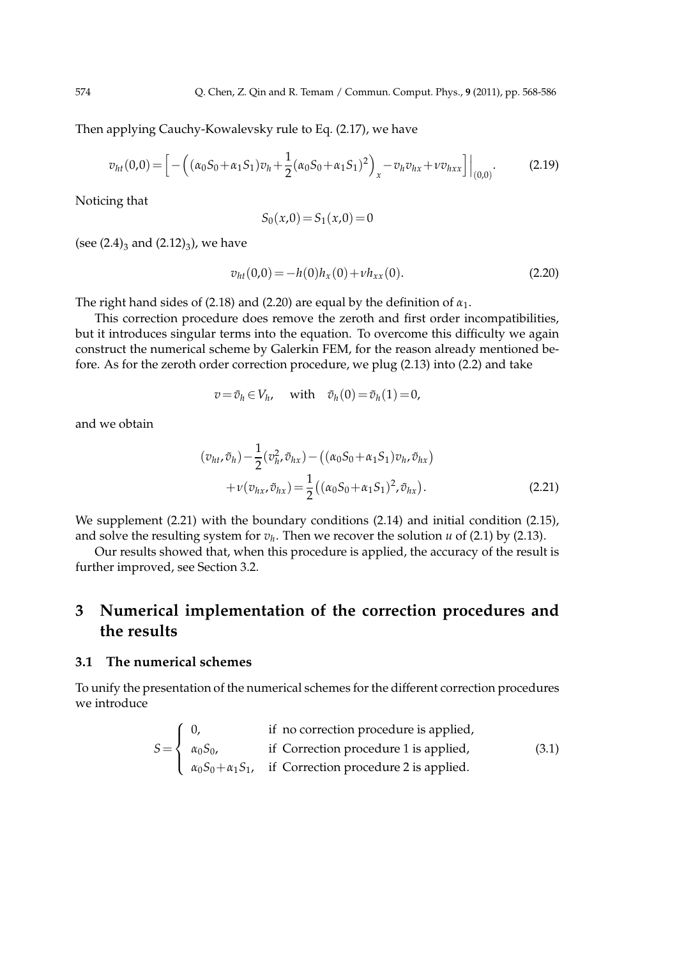Then applying Cauchy-Kowalevsky rule to Eq. (2.17), we have

$$
v_{ht}(0,0) = \left[ -\left( (\alpha_0 S_0 + \alpha_1 S_1) v_h + \frac{1}{2} (\alpha_0 S_0 + \alpha_1 S_1)^2 \right)_x - v_h v_{hx} + v v_{hxx} \right] \Big|_{(0,0)}.
$$
 (2.19)

Noticing that

$$
S_0(x,0) = S_1(x,0) = 0
$$

(see  $(2.4)_{3}$  and  $(2.12)_{3}$ ), we have

$$
v_{ht}(0,0) = -h(0)h_x(0) + v h_{xx}(0).
$$
\n(2.20)

The right hand sides of (2.18) and (2.20) are equal by the definition of *α*1.

This correction procedure does remove the zeroth and first order incompatibilities, but it introduces singular terms into the equation. To overcome this difficulty we again construct the numerical scheme by Galerkin FEM, for the reason already mentioned before. As for the zeroth order correction procedure, we plug (2.13) into (2.2) and take

$$
v = \tilde{v}_h \in V_h, \quad \text{with} \quad \tilde{v}_h(0) = \tilde{v}_h(1) = 0,
$$

and we obtain

$$
(v_{ht}, \tilde{v}_h) - \frac{1}{2} (v_{h}^2, \tilde{v}_{hx}) - ((\alpha_0 S_0 + \alpha_1 S_1) v_h, \tilde{v}_{hx}) + \nu (v_{hx}, \tilde{v}_{hx}) = \frac{1}{2} ((\alpha_0 S_0 + \alpha_1 S_1)^2, \tilde{v}_{hx}).
$$
 (2.21)

We supplement (2.21) with the boundary conditions (2.14) and initial condition (2.15), and solve the resulting system for  $v_h$ . Then we recover the solution *u* of (2.1) by (2.13).

Our results showed that, when this procedure is applied, the accuracy of the result is further improved, see Section 3.2.

# **3 Numerical implementation of the correction procedures and the results**

### **3.1 The numerical schemes**

To unify the presentation of the numerical schemes for the different correction procedures we introduce

$$
S = \begin{cases} 0, & \text{if no correction procedure is applied,} \\ \alpha_0 S_0, & \text{if Correction procedure 1 is applied,} \\ \alpha_0 S_0 + \alpha_1 S_1, & \text{if Correction procedure 2 is applied.} \end{cases}
$$
(3.1)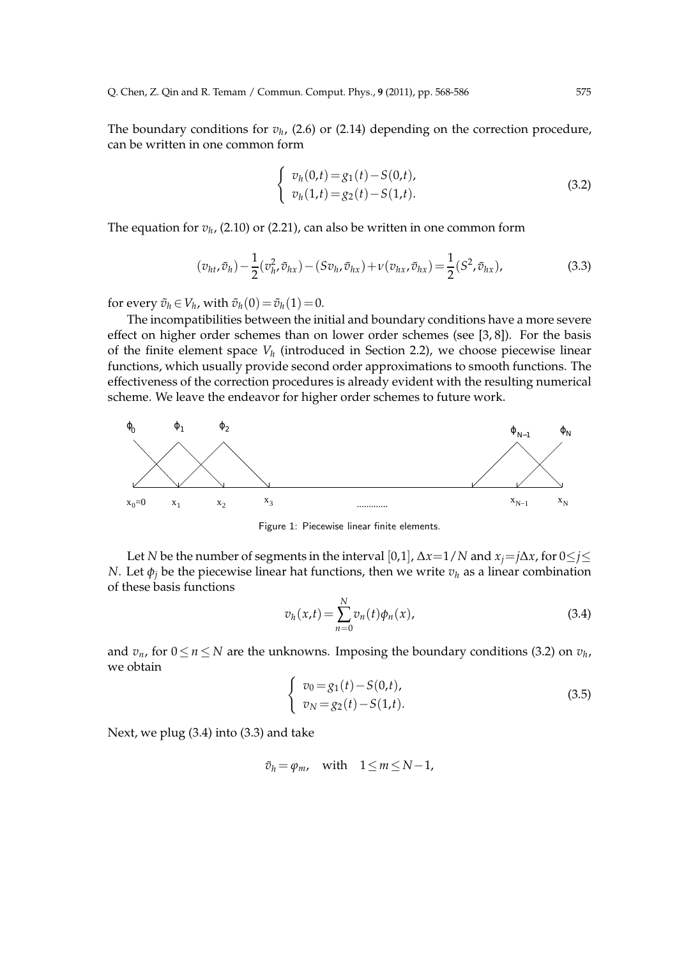The boundary conditions for  $v_h$ , (2.6) or (2.14) depending on the correction procedure, can be written in one common form

$$
\begin{cases}\nv_h(0,t) = g_1(t) - S(0,t), \\
v_h(1,t) = g_2(t) - S(1,t).\n\end{cases}
$$
\n(3.2)

The equation for  $v_h$ , (2.10) or (2.21), can also be written in one common form

$$
(v_{ht}, \tilde{v}_h) - \frac{1}{2} (v_h^2, \tilde{v}_{hx}) - (Sv_h, \tilde{v}_{hx}) + \nu(v_{hx}, \tilde{v}_{hx}) = \frac{1}{2} (S^2, \tilde{v}_{hx}),
$$
\n(3.3)

for every  $\tilde{v}_h \in V_h$ , with  $\tilde{v}_h(0) = \tilde{v}_h(1) = 0$ .

The incompatibilities between the initial and boundary conditions have a more severe effect on higher order schemes than on lower order schemes (see [3, 8]). For the basis of the finite element space *V<sup>h</sup>* (introduced in Section 2.2), we choose piecewise linear functions, which usually provide second order approximations to smooth functions. The effectiveness of the correction procedures is already evident with the resulting numerical scheme. We leave the endeavor for higher order schemes to future work.



Figure 1: Piecewise linear finite elements.

Let *N* be the number of segments in the interval [0,1],  $\Delta x = 1/N$  and  $x_i = j\Delta x$ , for  $0 \leq j \leq$ *N*. Let  $\phi_i$  be the piecewise linear hat functions, then we write  $v_h$  as a linear combination of these basis functions

$$
v_h(x,t) = \sum_{n=0}^{N} v_n(t)\phi_n(x),
$$
\n(3.4)

and  $v_n$ , for  $0 \le n \le N$  are the unknowns. Imposing the boundary conditions (3.2) on  $v_h$ , we obtain

$$
\begin{cases}\nv_0 = g_1(t) - S(0,t), \\
v_N = g_2(t) - S(1,t).\n\end{cases}
$$
\n(3.5)

Next, we plug (3.4) into (3.3) and take

$$
\tilde{v}_h = \varphi_m, \quad \text{with} \quad 1 \le m \le N - 1,
$$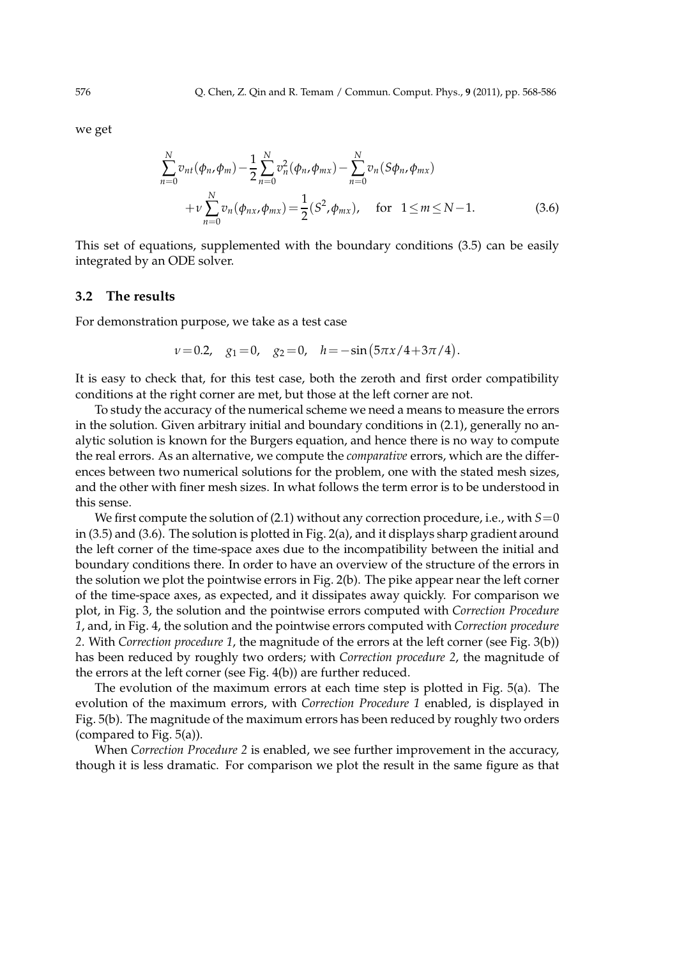we get

$$
\sum_{n=0}^{N} v_{nt}(\phi_n, \phi_m) - \frac{1}{2} \sum_{n=0}^{N} v_n^2(\phi_n, \phi_{mx}) - \sum_{n=0}^{N} v_n(S\phi_n, \phi_{mx}) + \nu \sum_{n=0}^{N} v_n(\phi_{nx}, \phi_{mx}) = \frac{1}{2}(S^2, \phi_{mx}), \quad \text{for} \quad 1 \le m \le N - 1.
$$
 (3.6)

This set of equations, supplemented with the boundary conditions (3.5) can be easily integrated by an ODE solver.

#### **3.2 The results**

For demonstration purpose, we take as a test case

$$
v=0.2
$$
,  $g_1=0$ ,  $g_2=0$ ,  $h=-\sin(5\pi x/4+3\pi/4)$ .

It is easy to check that, for this test case, both the zeroth and first order compatibility conditions at the right corner are met, but those at the left corner are not.

To study the accuracy of the numerical scheme we need a means to measure the errors in the solution. Given arbitrary initial and boundary conditions in (2.1), generally no analytic solution is known for the Burgers equation, and hence there is no way to compute the real errors. As an alternative, we compute the *comparative* errors, which are the differences between two numerical solutions for the problem, one with the stated mesh sizes, and the other with finer mesh sizes. In what follows the term error is to be understood in this sense.

We first compute the solution of (2.1) without any correction procedure, i.e., with  $S=0$ in (3.5) and (3.6). The solution is plotted in Fig. 2(a), and it displays sharp gradient around the left corner of the time-space axes due to the incompatibility between the initial and boundary conditions there. In order to have an overview of the structure of the errors in the solution we plot the pointwise errors in Fig. 2(b). The pike appear near the left corner of the time-space axes, as expected, and it dissipates away quickly. For comparison we plot, in Fig. 3, the solution and the pointwise errors computed with *Correction Procedure 1*, and, in Fig. 4, the solution and the pointwise errors computed with *Correction procedure 2*. With *Correction procedure 1*, the magnitude of the errors at the left corner (see Fig. 3(b)) has been reduced by roughly two orders; with *Correction procedure 2*, the magnitude of the errors at the left corner (see Fig. 4(b)) are further reduced.

The evolution of the maximum errors at each time step is plotted in Fig. 5(a). The evolution of the maximum errors, with *Correction Procedure 1* enabled, is displayed in Fig. 5(b). The magnitude of the maximum errors has been reduced by roughly two orders (compared to Fig. 5(a)).

When *Correction Procedure 2* is enabled, we see further improvement in the accuracy, though it is less dramatic. For comparison we plot the result in the same figure as that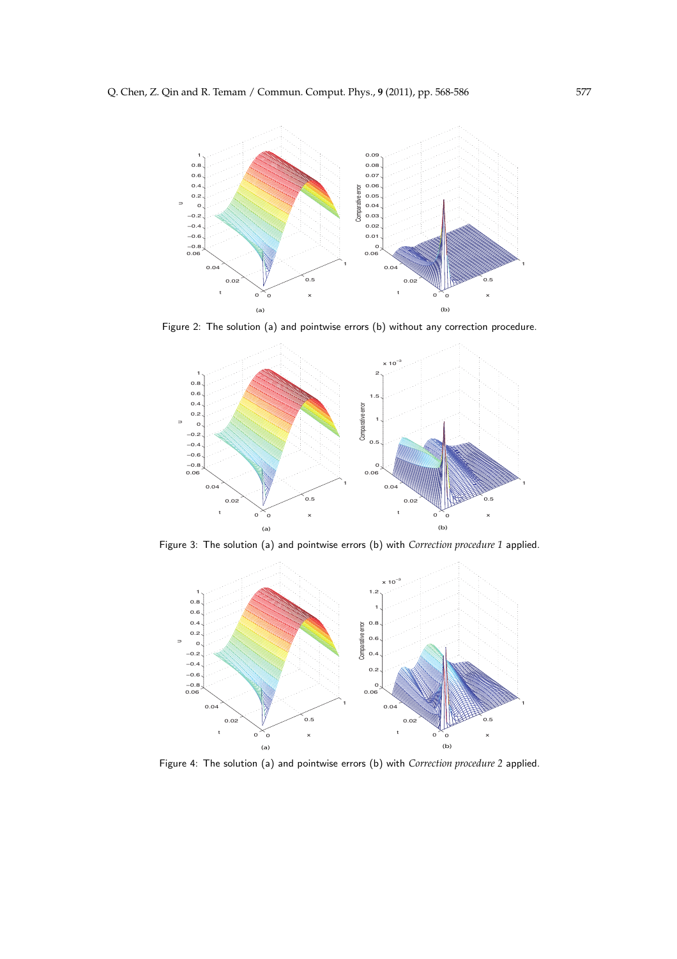

Figure 2: The solution (a) and pointwise errors (b) without any correction procedure.



Figure 3: The solution (a) and pointwise errors (b) with *Correction procedure 1* applied.



Figure 4: The solution (a) and pointwise errors (b) with *Correction procedure 2* applied.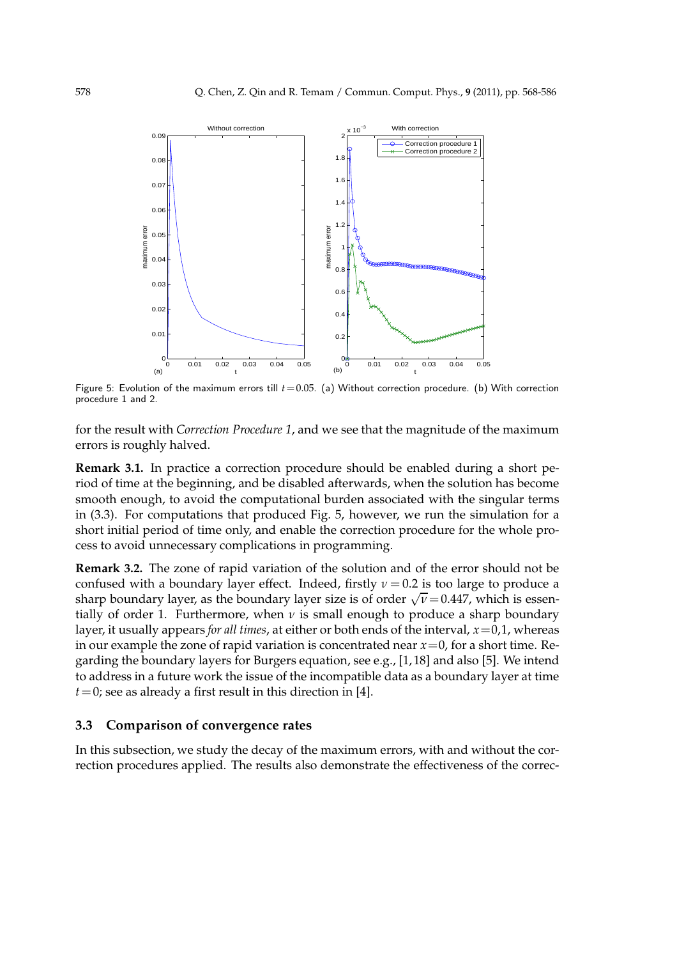

Figure 5: Evolution of the maximum errors till  $t=0.05$ . (a) Without correction procedure. (b) With correction procedure 1 and 2.

for the result with *Correction Procedure 1*, and we see that the magnitude of the maximum errors is roughly halved.

**Remark 3.1.** In practice a correction procedure should be enabled during a short period of time at the beginning, and be disabled afterwards, when the solution has become smooth enough, to avoid the computational burden associated with the singular terms in (3.3). For computations that produced Fig. 5, however, we run the simulation for a short initial period of time only, and enable the correction procedure for the whole process to avoid unnecessary complications in programming.

**Remark 3.2.** The zone of rapid variation of the solution and of the error should not be confused with a boundary layer effect. Indeed, firstly  $\nu = 0.2$  is too large to produce a sharp boundary layer, as the boundary layer size is of order  $\sqrt{v} = 0.447$ , which is essentially of order 1. Furthermore, when  $\nu$  is small enough to produce a sharp boundary layer, it usually appears *for all times*, at either or both ends of the interval, *x*=0,1, whereas in our example the zone of rapid variation is concentrated near *x*=0, for a short time. Regarding the boundary layers for Burgers equation, see e.g., [1, 18] and also [5]. We intend to address in a future work the issue of the incompatible data as a boundary layer at time  $t=0$ ; see as already a first result in this direction in [4].

### **3.3 Comparison of convergence rates**

In this subsection, we study the decay of the maximum errors, with and without the correction procedures applied. The results also demonstrate the effectiveness of the correc-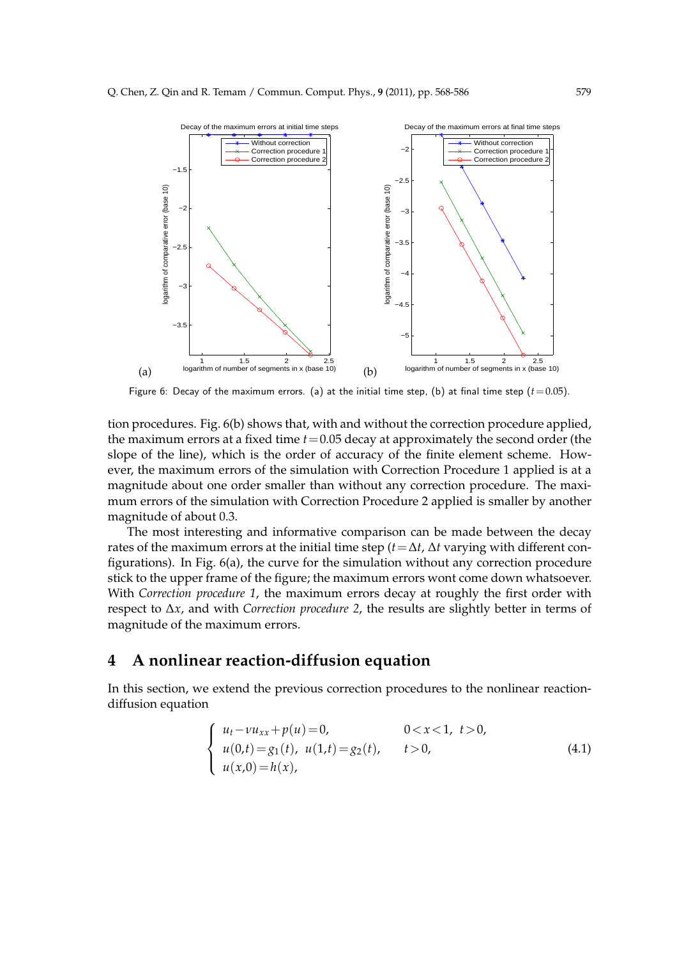

Figure 6: Decay of the maximum errors. (a) at the initial time step, (b) at final time step  $(t=0.05)$ .

tion procedures. Fig. 6(b) shows that, with and without the correction procedure applied, the maximum errors at a fixed time  $t = 0.05$  decay at approximately the second order (the slope of the line), which is the order of accuracy of the finite element scheme. However, the maximum errors of the simulation with Correction Procedure 1 applied is at a magnitude about one order smaller than without any correction procedure. The maximum errors of the simulation with Correction Procedure 2 applied is smaller by another magnitude of about 0.3.

The most interesting and informative comparison can be made between the decay rates of the maximum errors at the initial time step (*t*=∆*t*, ∆*t* varying with different configurations). In Fig. 6(a), the curve for the simulation without any correction procedure stick to the upper frame of the figure; the maximum errors wont come down whatsoever. With *Correction procedure 1*, the maximum errors decay at roughly the first order with respect to ∆*x*, and with *Correction procedure 2*, the results are slightly better in terms of magnitude of the maximum errors.

## **4 A nonlinear reaction-diffusion equation**

In this section, we extend the previous correction procedures to the nonlinear reactiondiffusion equation

$$
\begin{cases}\n u_t - \nu u_{xx} + p(u) = 0, & 0 < x < 1, \ t > 0, \\
 u(0,t) = g_1(t), \ u(1,t) = g_2(t), & t > 0, \\
 u(x,0) = h(x), &\n\end{cases}
$$
\n(4.1)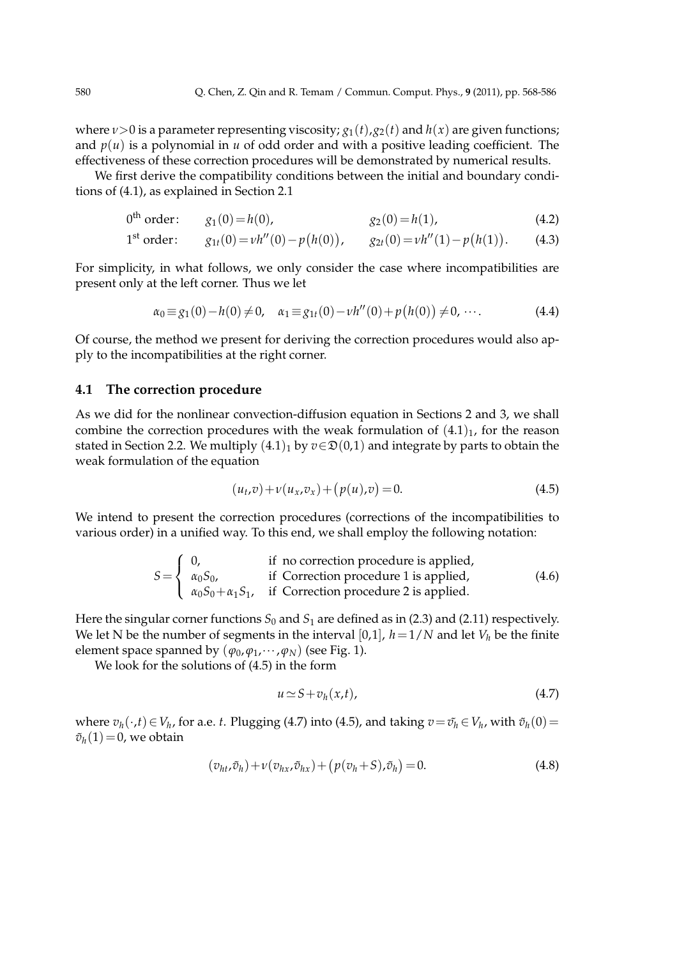where  $\nu > 0$  is a parameter representing viscosity;  $g_1(t)$ ,  $g_2(t)$  and  $h(x)$  are given functions; and  $p(u)$  is a polynomial in *u* of odd order and with a positive leading coefficient. The effectiveness of these correction procedures will be demonstrated by numerical results.

We first derive the compatibility conditions between the initial and boundary conditions of (4.1), as explained in Section 2.1

 $0^{\text{th}} \text{ order: } g_1(0) = h(0), \qquad g_2(0) = h(1),$  (4.2)

1<sup>st</sup> order: 
$$
g_{1t}(0) = v h''(0) - p(h(0)), \t g_{2t}(0) = v h''(1) - p(h(1)).
$$
 (4.3)

For simplicity, in what follows, we only consider the case where incompatibilities are present only at the left corner. Thus we let

$$
\alpha_0 \equiv g_1(0) - h(0) \neq 0, \quad \alpha_1 \equiv g_{1t}(0) - \nu h''(0) + p(h(0)) \neq 0, \cdots. \tag{4.4}
$$

Of course, the method we present for deriving the correction procedures would also apply to the incompatibilities at the right corner.

#### **4.1 The correction procedure**

As we did for the nonlinear convection-diffusion equation in Sections 2 and 3, we shall combine the correction procedures with the weak formulation of  $(4.1)<sub>1</sub>$ , for the reason stated in Section 2.2. We multiply  $(4.1)<sub>1</sub>$  by  $v \in \mathfrak{D}(0,1)$  and integrate by parts to obtain the weak formulation of the equation

$$
(u_t, v) + v(u_x, v_x) + (p(u), v) = 0.
$$
\n(4.5)

We intend to present the correction procedures (corrections of the incompatibilities to various order) in a unified way. To this end, we shall employ the following notation:

$$
S = \begin{cases} 0, & \text{if no correction procedure is applied,} \\ \alpha_0 S_0, & \text{if Correction procedure 1 is applied,} \\ \alpha_0 S_0 + \alpha_1 S_1, & \text{if Correction procedure 2 is applied.} \end{cases}
$$
(4.6)

Here the singular corner functions  $S_0$  and  $S_1$  are defined as in (2.3) and (2.11) respectively. We let N be the number of segments in the interval [0,1],  $h = 1/N$  and let  $V_h$  be the finite element space spanned by  $(\varphi_0, \varphi_1, \dots, \varphi_N)$  (see Fig. 1).

We look for the solutions of (4.5) in the form

$$
u \simeq S + v_h(x, t), \tag{4.7}
$$

 $v_h(·, t) ∈ V_h$ , for a.e. *t*. Plugging (4.7) into (4.5), and taking  $v = \tilde{v_h} ∈ V_h$ , with  $\tilde{v_h}(0) =$  $\tilde{v}_h(1)=0$ , we obtain

$$
(v_{ht},\tilde{v}_h) + v(v_{hx},\tilde{v}_{hx}) + (p(v_h+S),\tilde{v}_h) = 0.
$$
\n(4.8)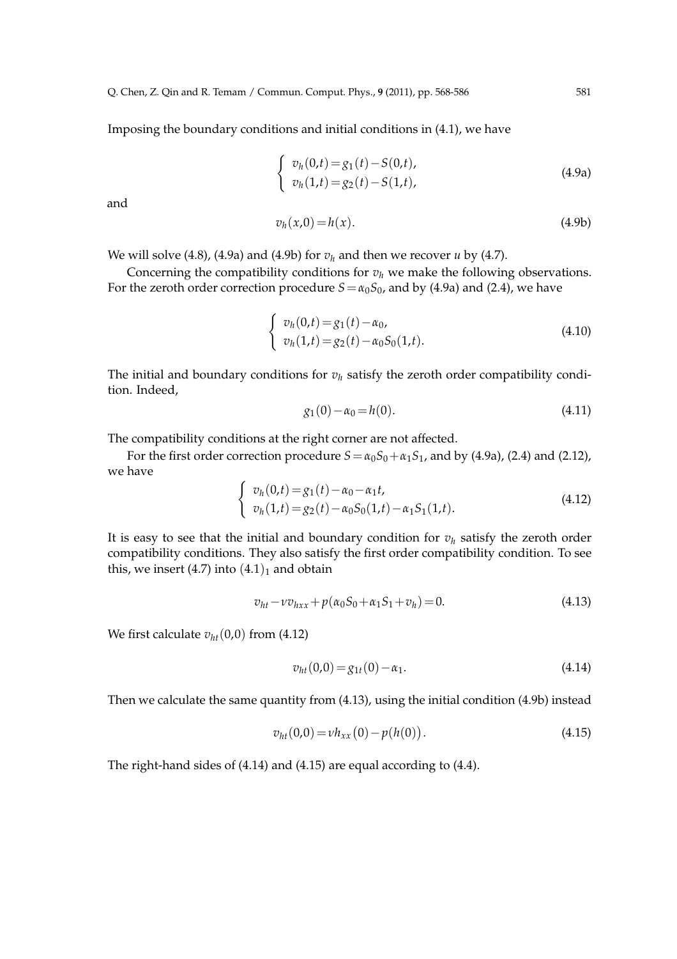Imposing the boundary conditions and initial conditions in (4.1), we have

$$
\begin{cases}\nv_h(0,t) = g_1(t) - S(0,t), \\
v_h(1,t) = g_2(t) - S(1,t),\n\end{cases}
$$
\n(4.9a)

and

$$
v_h(x,0) = h(x). \tag{4.9b}
$$

We will solve  $(4.8)$ ,  $(4.9a)$  and  $(4.9b)$  for  $v_h$  and then we recover *u* by  $(4.7)$ .

Concerning the compatibility conditions for  $v_h$  we make the following observations. For the zeroth order correction procedure  $S = \alpha_0 S_0$ , and by (4.9a) and (2.4), we have

$$
\begin{cases}\nv_h(0,t) = g_1(t) - \alpha_0, \\
v_h(1,t) = g_2(t) - \alpha_0 S_0(1,t).\n\end{cases}
$$
\n(4.10)

The initial and boundary conditions for  $v_h$  satisfy the zeroth order compatibility condition. Indeed,

$$
g_1(0) - \alpha_0 = h(0). \tag{4.11}
$$

The compatibility conditions at the right corner are not affected.

For the first order correction procedure  $S = \alpha_0 S_0 + \alpha_1 S_1$ , and by (4.9a), (2.4) and (2.12), we have

$$
\begin{cases}\nv_h(0,t) = g_1(t) - \alpha_0 - \alpha_1 t, \\
v_h(1,t) = g_2(t) - \alpha_0 S_0(1,t) - \alpha_1 S_1(1,t).\n\end{cases}
$$
\n(4.12)

It is easy to see that the initial and boundary condition for  $v_h$  satisfy the zeroth order compatibility conditions. They also satisfy the first order compatibility condition. To see this, we insert (4.7) into  $(4.1)_1$  and obtain

$$
v_{ht} - v v_{hxx} + p(\alpha_0 S_0 + \alpha_1 S_1 + v_h) = 0.
$$
\n(4.13)

We first calculate  $v_{ht}(0,0)$  from (4.12)

$$
v_{ht}(0,0) = g_{1t}(0) - \alpha_1. \tag{4.14}
$$

Then we calculate the same quantity from (4.13), using the initial condition (4.9b) instead

$$
v_{ht}(0,0) = v h_{xx}(0) - p(h(0)).
$$
\n(4.15)

The right-hand sides of (4.14) and (4.15) are equal according to (4.4).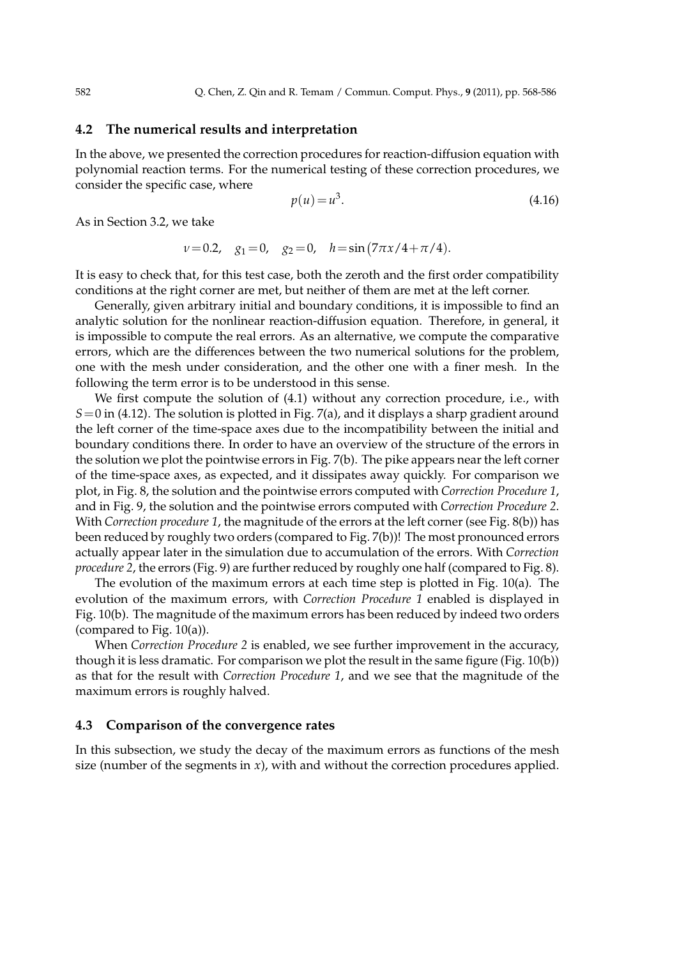### **4.2 The numerical results and interpretation**

In the above, we presented the correction procedures for reaction-diffusion equation with polynomial reaction terms. For the numerical testing of these correction procedures, we consider the specific case, where

$$
p(u) = u^3. \tag{4.16}
$$

As in Section 3.2, we take

$$
v=0.2
$$
,  $g_1=0$ ,  $g_2=0$ ,  $h=\sin(7\pi x/4+\pi/4)$ .

It is easy to check that, for this test case, both the zeroth and the first order compatibility conditions at the right corner are met, but neither of them are met at the left corner.

Generally, given arbitrary initial and boundary conditions, it is impossible to find an analytic solution for the nonlinear reaction-diffusion equation. Therefore, in general, it is impossible to compute the real errors. As an alternative, we compute the comparative errors, which are the differences between the two numerical solutions for the problem, one with the mesh under consideration, and the other one with a finer mesh. In the following the term error is to be understood in this sense.

We first compute the solution of (4.1) without any correction procedure, i.e., with *S*=0 in (4.12). The solution is plotted in Fig. 7(a), and it displays a sharp gradient around the left corner of the time-space axes due to the incompatibility between the initial and boundary conditions there. In order to have an overview of the structure of the errors in the solution we plot the pointwise errors in Fig. 7(b). The pike appears near the left corner of the time-space axes, as expected, and it dissipates away quickly. For comparison we plot, in Fig. 8, the solution and the pointwise errors computed with *Correction Procedure 1*, and in Fig. 9, the solution and the pointwise errors computed with *Correction Procedure 2*. With *Correction procedure 1*, the magnitude of the errors at the left corner (see Fig. 8(b)) has been reduced by roughly two orders (compared to Fig. 7(b))! The most pronounced errors actually appear later in the simulation due to accumulation of the errors. With *Correction procedure 2*, the errors (Fig. 9) are further reduced by roughly one half (compared to Fig. 8).

The evolution of the maximum errors at each time step is plotted in Fig. 10(a). The evolution of the maximum errors, with *Correction Procedure 1* enabled is displayed in Fig. 10(b). The magnitude of the maximum errors has been reduced by indeed two orders (compared to Fig. 10(a)).

When *Correction Procedure 2* is enabled, we see further improvement in the accuracy, though it is less dramatic. For comparison we plot the result in the same figure (Fig. 10(b)) as that for the result with *Correction Procedure 1*, and we see that the magnitude of the maximum errors is roughly halved.

#### **4.3 Comparison of the convergence rates**

In this subsection, we study the decay of the maximum errors as functions of the mesh size (number of the segments in  $x$ ), with and without the correction procedures applied.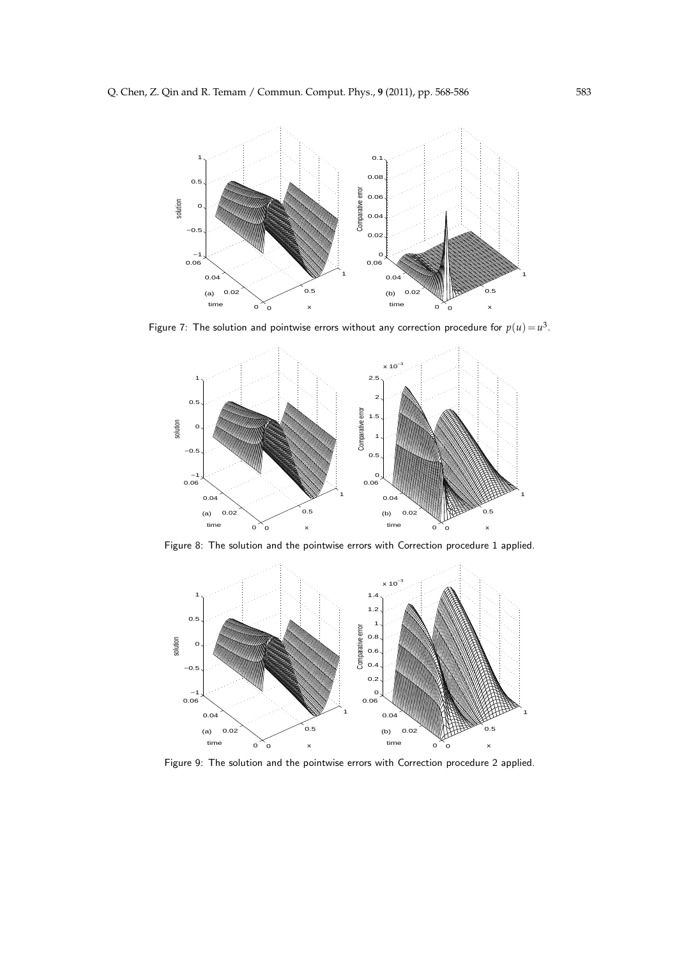

Figure 7: The solution and pointwise errors without any correction procedure for  $p(u)\!=\!u^3.$ 



Figure 8: The solution and the pointwise errors with Correction procedure 1 applied.



Figure 9: The solution and the pointwise errors with Correction procedure 2 applied.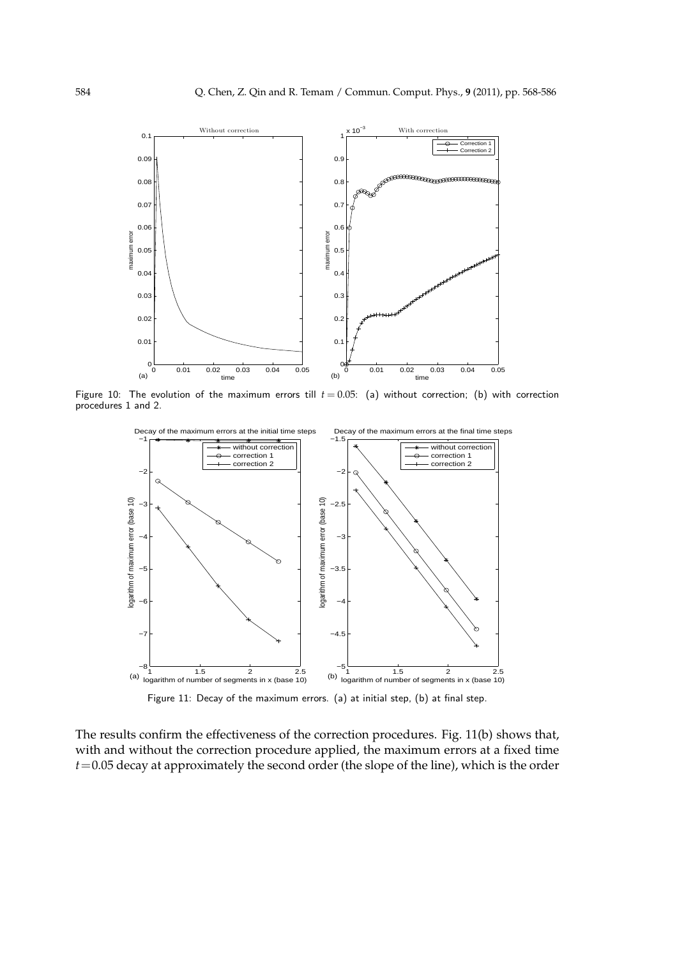

Figure 10: The evolution of the maximum errors till  $t = 0.05$ : (a) without correction; (b) with correction procedures 1 and 2.



Figure 11: Decay of the maximum errors. (a) at initial step, (b) at final step.

The results confirm the effectiveness of the correction procedures. Fig. 11(b) shows that, with and without the correction procedure applied, the maximum errors at a fixed time *t*=0.05 decay at approximately the second order (the slope of the line), which is the order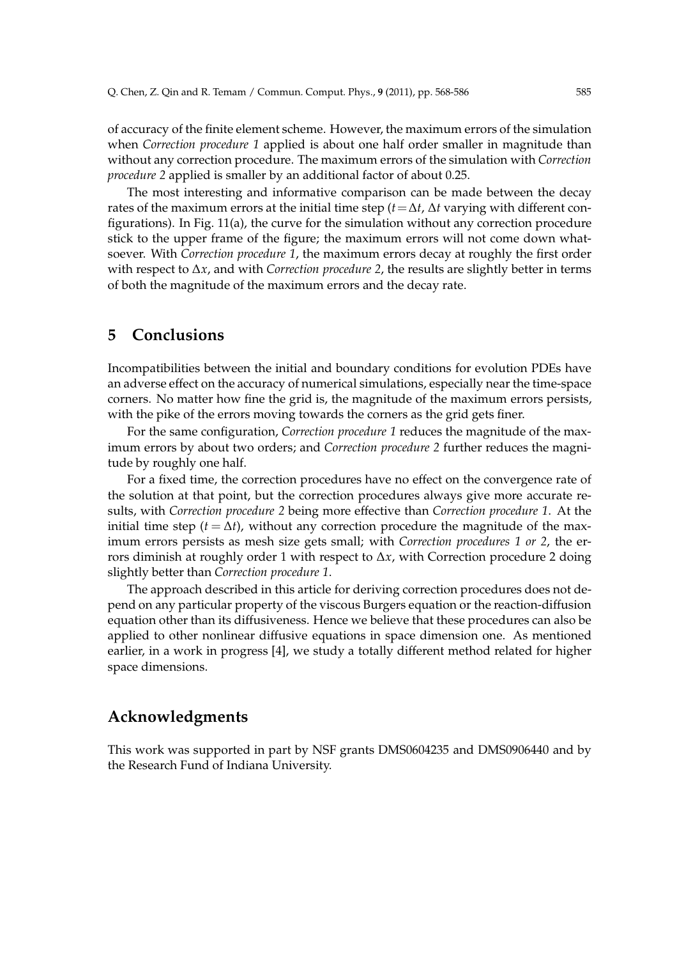of accuracy of the finite element scheme. However, the maximum errors of the simulation when *Correction procedure 1* applied is about one half order smaller in magnitude than without any correction procedure. The maximum errors of the simulation with *Correction procedure 2* applied is smaller by an additional factor of about 0.25.

The most interesting and informative comparison can be made between the decay rates of the maximum errors at the initial time step ( $t = \Delta t$ ,  $\Delta t$  varying with different configurations). In Fig. 11(a), the curve for the simulation without any correction procedure stick to the upper frame of the figure; the maximum errors will not come down whatsoever. With *Correction procedure 1*, the maximum errors decay at roughly the first order with respect to ∆*x*, and with *Correction procedure 2*, the results are slightly better in terms of both the magnitude of the maximum errors and the decay rate.

## **5 Conclusions**

Incompatibilities between the initial and boundary conditions for evolution PDEs have an adverse effect on the accuracy of numerical simulations, especially near the time-space corners. No matter how fine the grid is, the magnitude of the maximum errors persists, with the pike of the errors moving towards the corners as the grid gets finer.

For the same configuration, *Correction procedure 1* reduces the magnitude of the maximum errors by about two orders; and *Correction procedure 2* further reduces the magnitude by roughly one half.

For a fixed time, the correction procedures have no effect on the convergence rate of the solution at that point, but the correction procedures always give more accurate results, with *Correction procedure 2* being more effective than *Correction procedure 1*. At the initial time step ( $t = \Delta t$ ), without any correction procedure the magnitude of the maximum errors persists as mesh size gets small; with *Correction procedures 1 or 2*, the errors diminish at roughly order 1 with respect to ∆*x*, with Correction procedure 2 doing slightly better than *Correction procedure 1*.

The approach described in this article for deriving correction procedures does not depend on any particular property of the viscous Burgers equation or the reaction-diffusion equation other than its diffusiveness. Hence we believe that these procedures can also be applied to other nonlinear diffusive equations in space dimension one. As mentioned earlier, in a work in progress [4], we study a totally different method related for higher space dimensions.

# **Acknowledgments**

This work was supported in part by NSF grants DMS0604235 and DMS0906440 and by the Research Fund of Indiana University.